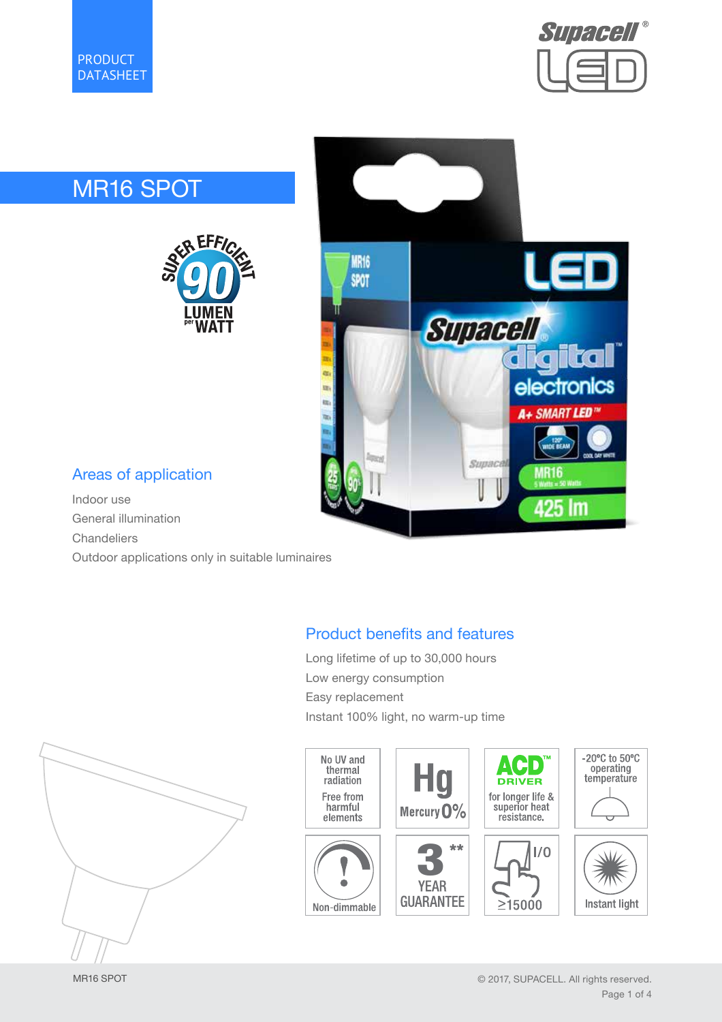



# MR16 SPOT





# Areas of application

Indoor use General illumination Chandeliers

Outdoor applications only in suitable luminaires

# Product benefits and features

Long lifetime of up to 30,000 hours Low energy consumption Easy replacement Instant 100% light, no warm-up time





MR16 SPOT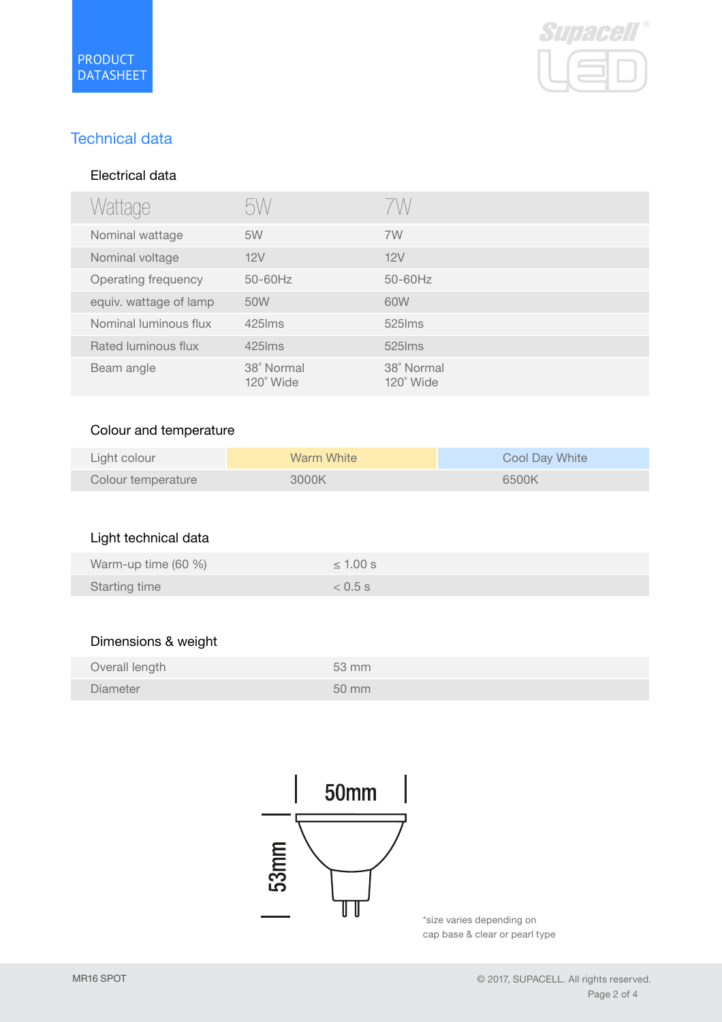

# Technical data

#### Electrical data

| Wattage                | bW                             | /W                      |
|------------------------|--------------------------------|-------------------------|
| Nominal wattage        | 5W                             | 7W                      |
| Nominal voltage        | 12V                            | 12V                     |
| Operating frequency    | $50-60$ Hz                     | $50 - 60$ Hz            |
| equiv. wattage of lamp | 50W                            | 60W                     |
| Nominal luminous flux  | $425$ $\text{Im}s$             | $525$ ms                |
| Rated luminous flux    | $425$ lms                      | $525$ ms                |
| Beam angle             | 38° Normal<br>$120^\circ$ Wide | 38° Normal<br>120° Wide |

#### Colour and temperature

| Light colour       | Warm White | Cool Day White |
|--------------------|------------|----------------|
| Colour temperature | 3000K      | 6500K          |

# Light technical data

| Warm-up time (60 %)  | $\leq 1.00$ s |
|----------------------|---------------|
| <b>Starting time</b> | $< 0.5$ s     |

#### Dimensions & weight

| Overall length  | $53 \, \text{mm}$ |
|-----------------|-------------------|
| <b>Diameter</b> | 50 mm             |



\*size varies depending on cap base & clear or pearl type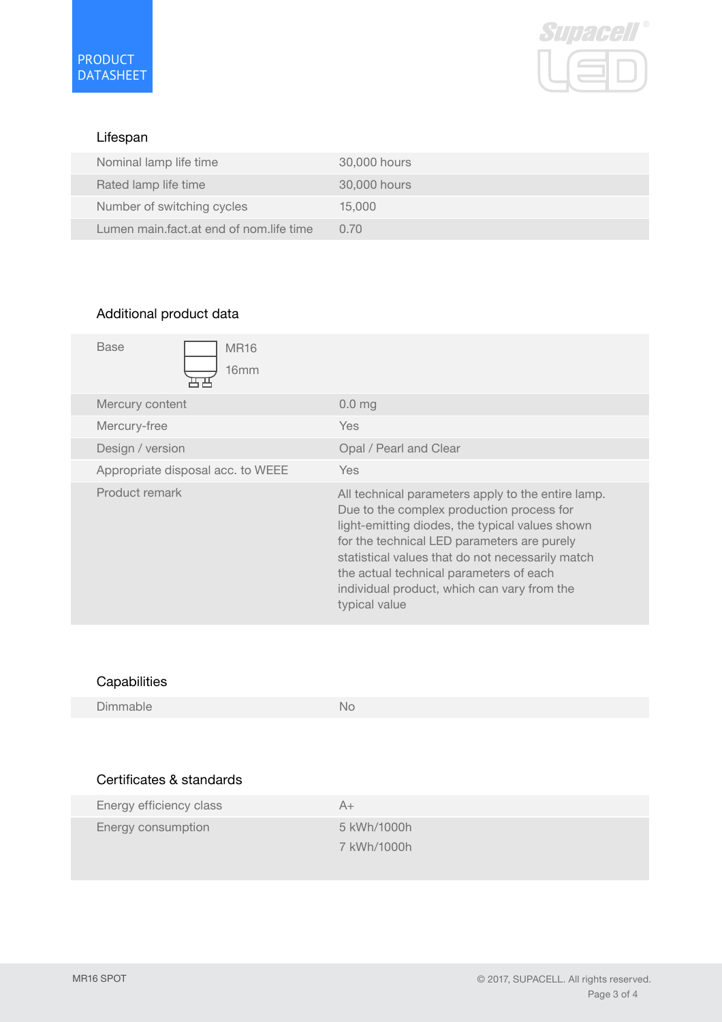

#### Lifespan

| Nominal lamp life time                  | 30,000 hours |
|-----------------------------------------|--------------|
| Rated lamp life time                    | 30,000 hours |
| Number of switching cycles              | 15,000       |
| Lumen main fact at end of nom life time | 0.70         |

## Additional product data

| <b>Base</b><br><b>MR16</b><br>16mm |                                                                                                                                                                                                                                                                                                                                                                  |
|------------------------------------|------------------------------------------------------------------------------------------------------------------------------------------------------------------------------------------------------------------------------------------------------------------------------------------------------------------------------------------------------------------|
| Mercury content                    | 0.0 <sub>mg</sub>                                                                                                                                                                                                                                                                                                                                                |
| Mercury-free                       | <b>Yes</b>                                                                                                                                                                                                                                                                                                                                                       |
| Design / version                   | Opal / Pearl and Clear                                                                                                                                                                                                                                                                                                                                           |
| Appropriate disposal acc. to WEEE  | Yes.                                                                                                                                                                                                                                                                                                                                                             |
| Product remark                     | All technical parameters apply to the entire lamp.<br>Due to the complex production process for<br>light-emitting diodes, the typical values shown<br>for the technical LED parameters are purely<br>statistical values that do not necessarily match<br>the actual technical parameters of each<br>individual product, which can vary from the<br>typical value |

## **Capabilities**

Dimmable No

# Certificates & standards

| Energy efficiency class | A+          |
|-------------------------|-------------|
| Energy consumption      | 5 kWh/1000h |
|                         | 7 kWh/1000h |